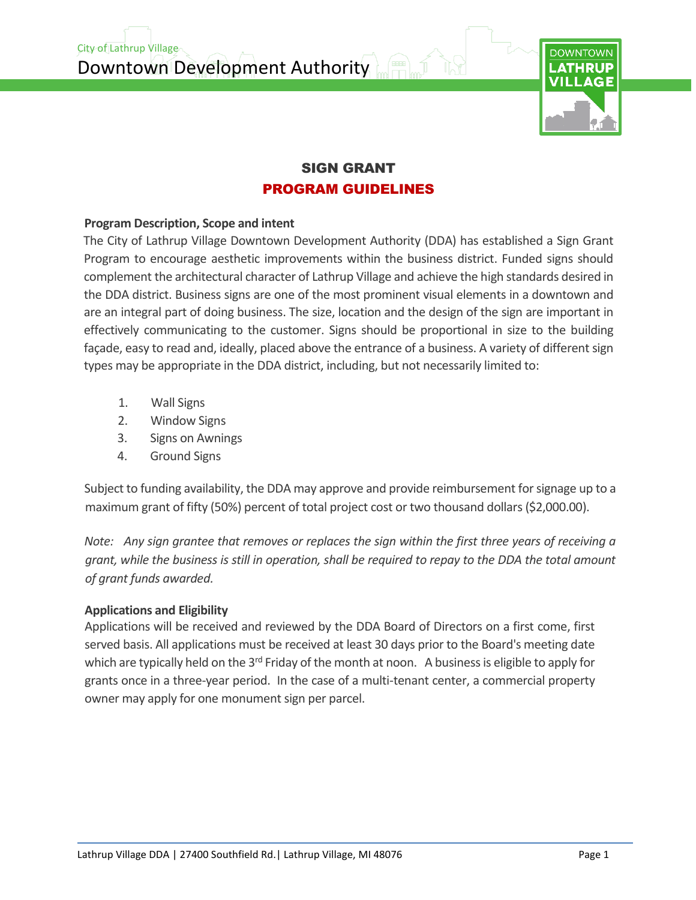Downtown Development Authority



### SIGN GRANT PROGRAM GUIDELINES

#### **Program Description, Scope and intent**

City of Lathrup Village

The City of Lathrup Village Downtown Development Authority (DDA) has established a Sign Grant Program to encourage aesthetic improvements within the business district. Funded signs should complement the architectural character of Lathrup Village and achieve the high standards desired in the DDA district. Business signs are one of the most prominent visual elements in a downtown and are an integral part of doing business. The size, location and the design of the sign are important in effectively communicating to the customer. Signs should be proportional in size to the building façade, easy to read and, ideally, placed above the entrance of a business. A variety of different sign types may be appropriate in the DDA district, including, but not necessarily limited to:

- 1. Wall Signs
- 2. Window Signs
- 3. Signs on Awnings
- 4. Ground Signs

Subject to funding availability, the DDA may approve and provide reimbursement for signage up to a maximum grant of fifty (50%) percent of total project cost or two thousand dollars (\$2,000.00).

*Note: Any sign grantee that removes or replaces the sign within the first three years of receiving a grant, while the business is still in operation, shall be required to repay to the DDA the total amount of grant funds awarded.*

### **Applications and Eligibility**

Applications will be received and reviewed by the DDA Board of Directors on a first come, first served basis. All applications must be received at least 30 days prior to the Board's meeting date which are typically held on the 3<sup>rd</sup> Friday of the month at noon. A business is eligible to apply for grants once in a three-year period. In the case of a multi-tenant center, a commercial property owner may apply for one monument sign per parcel.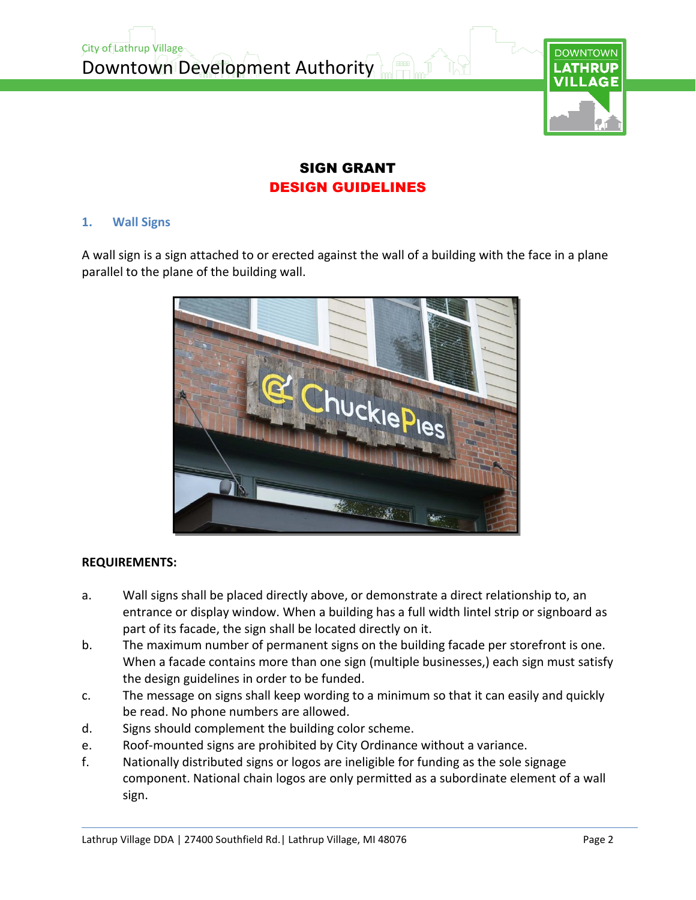

# DESIGN GUIDELINES

#### **1. Wall Signs**

A wall sign is a sign attached to or erected against the wall of a building with the face in a plane parallel to the plane of the building wall.



#### **REQUIREMENTS:**

- a. Wall signs shall be placed directly above, or demonstrate a direct relationship to, an entrance or display window. When a building has a full width lintel strip or signboard as part of its facade, the sign shall be located directly on it.
- b. The maximum number of permanent signs on the building facade per storefront is one. When a facade contains more than one sign (multiple businesses,) each sign must satisfy the design guidelines in order to be funded.
- c. The message on signs shall keep wording to a minimum so that it can easily and quickly be read. No phone numbers are allowed.
- d. Signs should complement the building color scheme.
- e. Roof-mounted signs are prohibited by City Ordinance without a variance.
- f. Nationally distributed signs or logos are ineligible for funding as the sole signage component. National chain logos are only permitted as a subordinate element of a wall sign.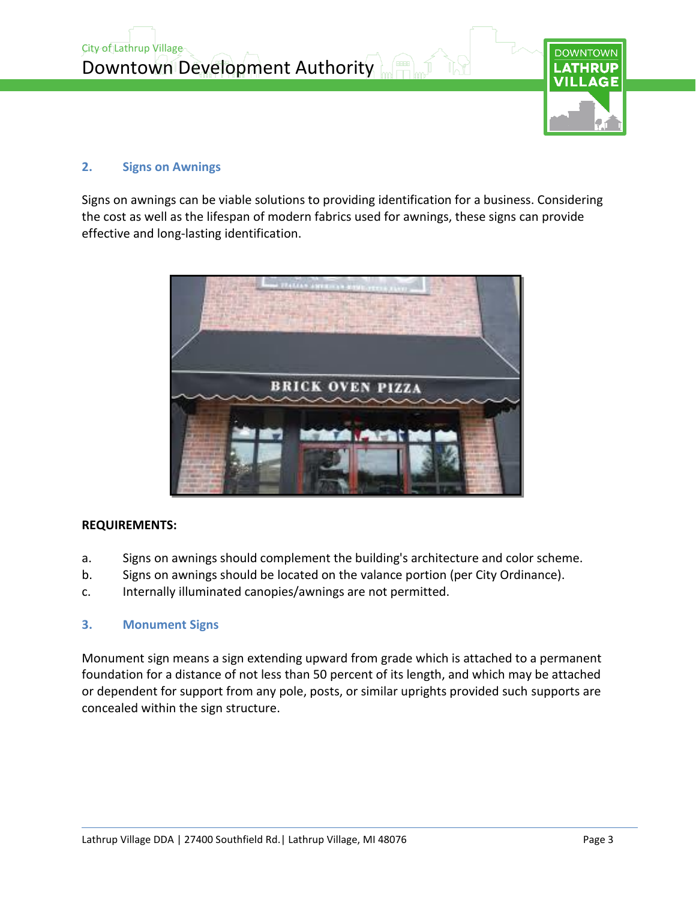

#### **2. Signs on Awnings**

Signs on awnings can be viable solutions to providing identification for a business. Considering the cost as well as the lifespan of modern fabrics used for awnings, these signs can provide effective and long-lasting identification.



#### **REQUIREMENTS:**

- a. Signs on awnings should complement the building's architecture and color scheme.
- b. Signs on awnings should be located on the valance portion (per City Ordinance).
- c. Internally illuminated canopies/awnings are not permitted.

#### **3. Monument Signs**

Monument sign means a sign extending upward from grade which is attached to a permanent foundation for a distance of not less than 50 percent of its length, and which may be attached or dependent for support from any pole, posts, or similar uprights provided such supports are concealed within the sign structure.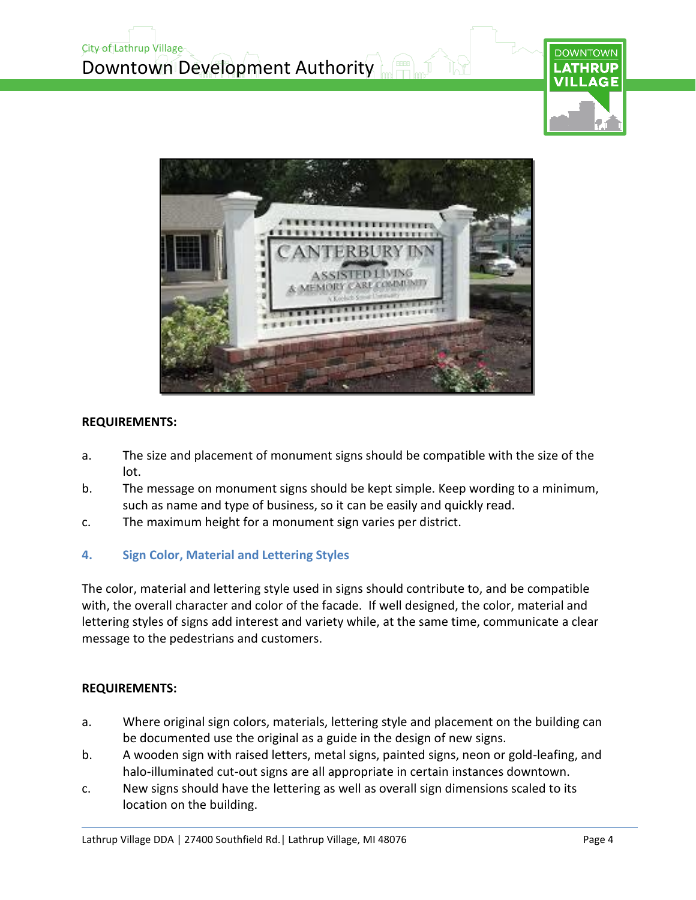





#### **REQUIREMENTS:**

- a. The size and placement of monument signs should be compatible with the size of the lot.
- b. The message on monument signs should be kept simple. Keep wording to a minimum, such as name and type of business, so it can be easily and quickly read.
- c. The maximum height for a monument sign varies per district.

#### **4. Sign Color, Material and Lettering Styles**

The color, material and lettering style used in signs should contribute to, and be compatible with, the overall character and color of the facade. If well designed, the color, material and lettering styles of signs add interest and variety while, at the same time, communicate a clear message to the pedestrians and customers.

#### **REQUIREMENTS:**

- a. Where original sign colors, materials, lettering style and placement on the building can be documented use the original as a guide in the design of new signs.
- b. A wooden sign with raised letters, metal signs, painted signs, neon or gold-leafing, and halo-illuminated cut-out signs are all appropriate in certain instances downtown.
- c. New signs should have the lettering as well as overall sign dimensions scaled to its location on the building.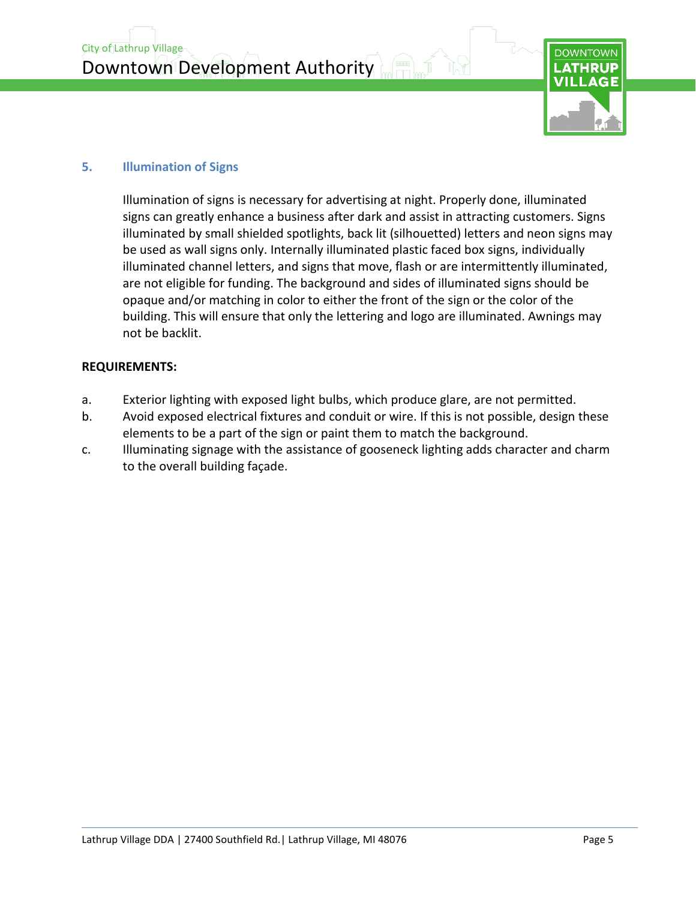City of Lathrup Village Downtown Development Authority



#### **5. Illumination of Signs**

Illumination of signs is necessary for advertising at night. Properly done, illuminated signs can greatly enhance a business after dark and assist in attracting customers. Signs illuminated by small shielded spotlights, back lit (silhouetted) letters and neon signs may be used as wall signs only. Internally illuminated plastic faced box signs, individually illuminated channel letters, and signs that move, flash or are intermittently illuminated, are not eligible for funding. The background and sides of illuminated signs should be opaque and/or matching in color to either the front of the sign or the color of the building. This will ensure that only the lettering and logo are illuminated. Awnings may not be backlit.

#### **REQUIREMENTS:**

- a. Exterior lighting with exposed light bulbs, which produce glare, are not permitted.
- b. Avoid exposed electrical fixtures and conduit or wire. If this is not possible, design these elements to be a part of the sign or paint them to match the background.
- c. Illuminating signage with the assistance of gooseneck lighting adds character and charm to the overall building façade.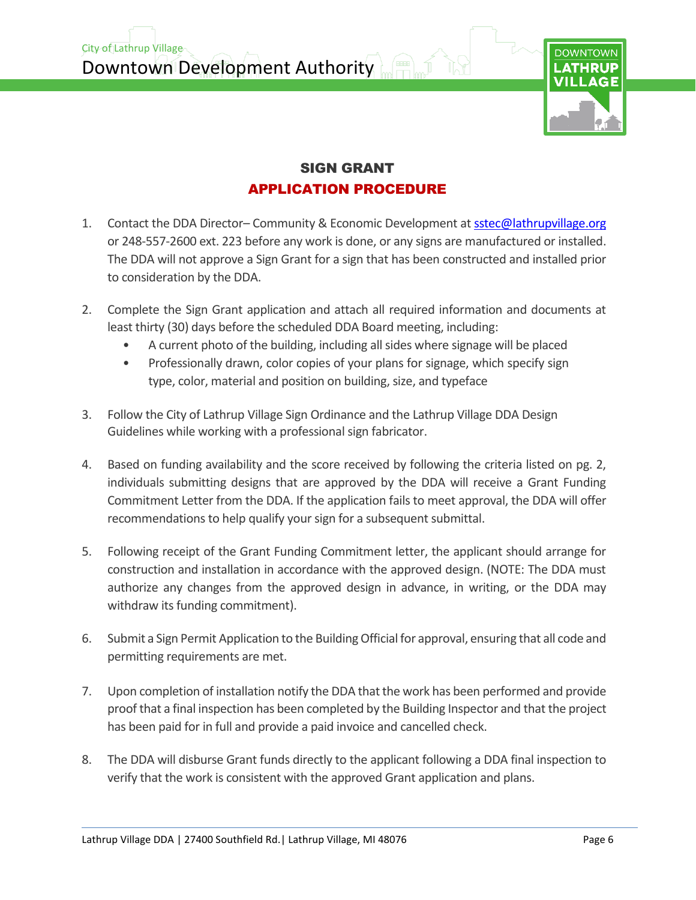Downtown Development Authority

City of Lathrup Village



### SIGN GRANT APPLICATION PROCEDURE

- 1. Contact the DDA Director-Community & Economic Development at [sstec@lathrupvillage.org](mailto:sstec@lathrupvillage.org) or 248-557-2600 ext. 223 before any work is done, or any signs are manufactured or installed. The DDA will not approve a Sign Grant for a sign that has been constructed and installed prior to consideration by the DDA.
- 2. Complete the Sign Grant application and attach all required information and documents at least thirty (30) days before the scheduled DDA Board meeting, including:
	- A current photo of the building, including all sides where signage will be placed
	- Professionally drawn, color copies of your plans for signage, which specify sign type, color, material and position on building, size, and typeface
- 3. Follow the City of Lathrup Village Sign Ordinance and the Lathrup Village DDA Design Guidelines while working with a professional sign fabricator.
- 4. Based on funding availability and the score received by following the criteria listed on pg. 2, individuals submitting designs that are approved by the DDA will receive a Grant Funding Commitment Letter from the DDA. If the application fails to meet approval, the DDA will offer recommendations to help qualify your sign for a subsequent submittal.
- 5. Following receipt of the Grant Funding Commitment letter, the applicant should arrange for construction and installation in accordance with the approved design. (NOTE: The DDA must authorize any changes from the approved design in advance, in writing, or the DDA may withdraw its funding commitment).
- 6. Submit a Sign Permit Application to the Building Official for approval, ensuring that all code and permitting requirements are met.
- 7. Upon completion of installation notify the DDA that the work has been performed and provide proof that a final inspection has been completed by the Building Inspector and that the project has been paid for in full and provide a paid invoice and cancelled check.
- 8. The DDA will disburse Grant funds directly to the applicant following a DDA final inspection to verify that the work is consistent with the approved Grant application and plans.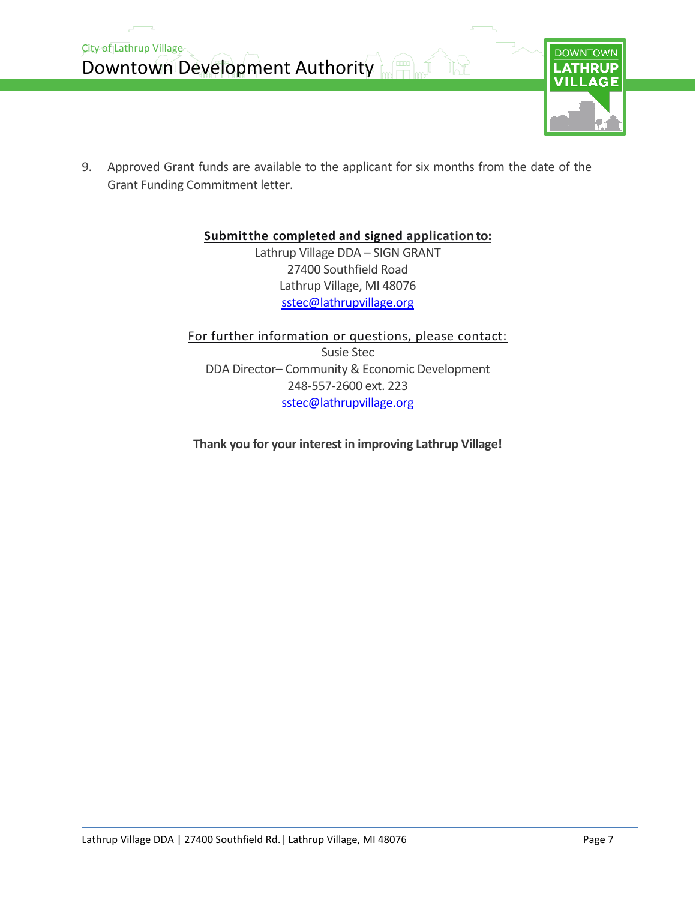

9. Approved Grant funds are available to the applicant for six months from the date of the Grant Funding Commitment letter.

### **Submitthe completed and signed applicationto:**

Lathrup Village DDA – SIGN GRANT 27400 Southfield Road Lathrup Village, MI 48076 [sstec@lathrupvillage.org](mailto:sstec@lathrupvillage.org)

For further information or questions, please contact: Susie Stec DDA Director– Community & Economic Development 248-557-2600 ext. 223 [sstec@lathrupvillage.org](mailto:sstec@lathrupvillage.org)

**Thank you for your interest in improving Lathrup Village!**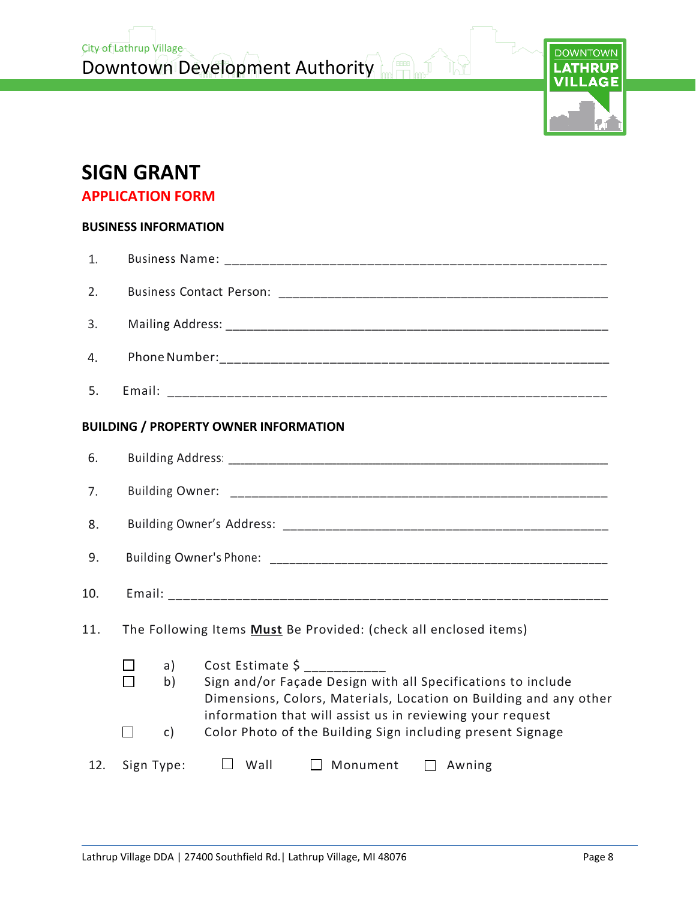

# **SIGN GRANT**

**APPLICATION FORM**

#### **BUSINESS INFORMATION**

| 1.  |                                                                  |                                                                                                                                                                                                                    |  |
|-----|------------------------------------------------------------------|--------------------------------------------------------------------------------------------------------------------------------------------------------------------------------------------------------------------|--|
| 2.  |                                                                  |                                                                                                                                                                                                                    |  |
| 3.  |                                                                  |                                                                                                                                                                                                                    |  |
| 4.  |                                                                  |                                                                                                                                                                                                                    |  |
| 5.  |                                                                  |                                                                                                                                                                                                                    |  |
|     |                                                                  | <b>BUILDING / PROPERTY OWNER INFORMATION</b>                                                                                                                                                                       |  |
| 6.  |                                                                  |                                                                                                                                                                                                                    |  |
| 7.  |                                                                  |                                                                                                                                                                                                                    |  |
| 8.  |                                                                  |                                                                                                                                                                                                                    |  |
| 9.  |                                                                  |                                                                                                                                                                                                                    |  |
| 10. |                                                                  |                                                                                                                                                                                                                    |  |
| 11. | The Following Items Must Be Provided: (check all enclosed items) |                                                                                                                                                                                                                    |  |
|     | a)<br>$\blacksquare$<br>b)                                       | Cost Estimate \$<br>Sign and/or Façade Design with all Specifications to include<br>Dimensions, Colors, Materials, Location on Building and any other<br>information that will assist us in reviewing your request |  |
|     | П<br>c)                                                          | Color Photo of the Building Sign including present Signage                                                                                                                                                         |  |
| 12. | Sign Type:                                                       | $\Box$ Wall<br>$\Box$ Monument $\Box$ Awning                                                                                                                                                                       |  |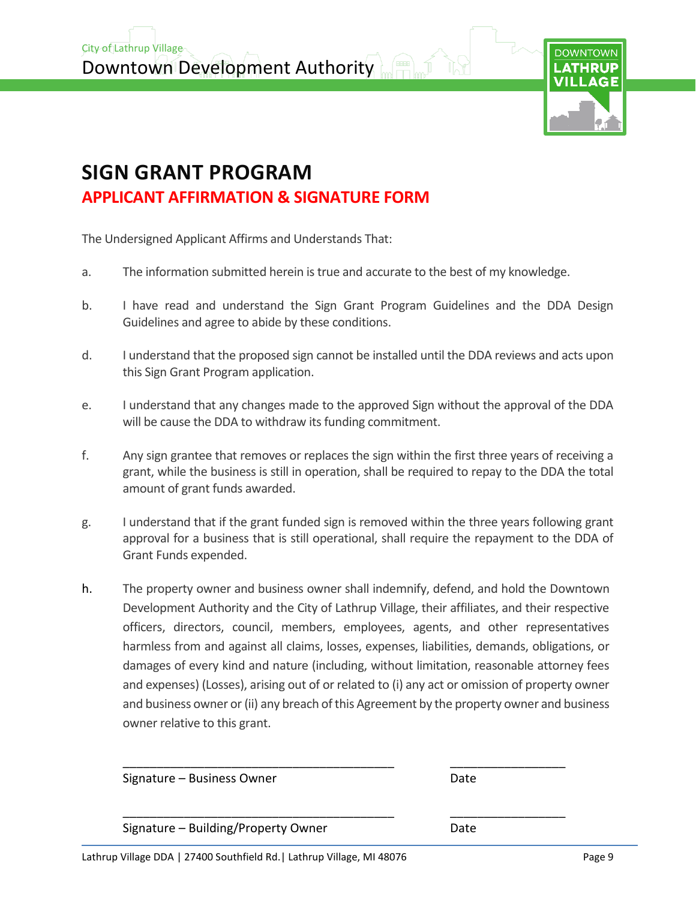Downtown Development Authority

City of Lathrup Village



# **SIGN GRANT PROGRAM APPLICANT AFFIRMATION & SIGNATURE FORM**

The Undersigned Applicant Affirms and Understands That:

- a. The information submitted herein is true and accurate to the best of my knowledge.
- b. I have read and understand the Sign Grant Program Guidelines and the DDA Design Guidelines and agree to abide by these conditions.
- d. I understand that the proposed sign cannot be installed until the DDA reviews and acts upon this Sign Grant Program application.
- e. I understand that any changes made to the approved Sign without the approval of the DDA will be cause the DDA to withdraw its funding commitment.
- f. Any sign grantee that removes or replaces the sign within the first three years of receiving a grant, while the business is still in operation, shall be required to repay to the DDA the total amount of grant funds awarded.
- g. I understand that if the grant funded sign is removed within the three years following grant approval for a business that is still operational, shall require the repayment to the DDA of Grant Funds expended.
- h. The property owner and business owner shall indemnify, defend, and hold the Downtown Development Authority and the City of Lathrup Village, their affiliates, and their respective officers, directors, council, members, employees, agents, and other representatives harmless from and against all claims, losses, expenses, liabilities, demands, obligations, or damages of every kind and nature (including, without limitation, reasonable attorney fees and expenses) (Losses), arising out of or related to (i) any act or omission of property owner and business owner or (ii) any breach of this Agreement by the property owner and business owner relative to this grant.

| Signature - Business Owner          | Date |
|-------------------------------------|------|
| Signature - Building/Property Owner | Date |